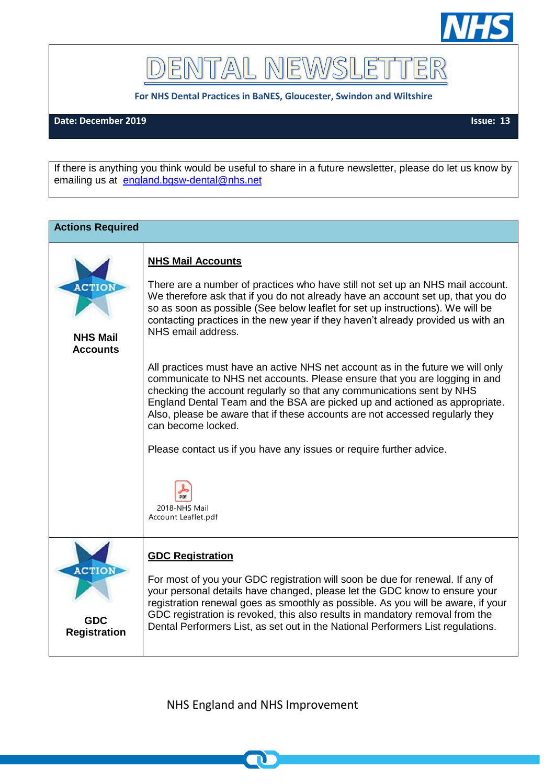

DENTAL NEWSLET TER

**For NHS Dental Practices in BaNES, Gloucester, Swindon and Wiltshire**

## **Date: December 2019 Issue: 13**

If there is anything you think would be useful to share in a future newsletter, please do let us know by emailing us at [england.bgsw-dental@nhs.net](mailto:england.bgsw-dental@nhs.net)

| <b>Actions Required</b>                            |                                                                                                                                                                                                                                                                                                                                                                                                                                                                                                                                                                                                                                                                                                                                                                                                                                                                                                |
|----------------------------------------------------|------------------------------------------------------------------------------------------------------------------------------------------------------------------------------------------------------------------------------------------------------------------------------------------------------------------------------------------------------------------------------------------------------------------------------------------------------------------------------------------------------------------------------------------------------------------------------------------------------------------------------------------------------------------------------------------------------------------------------------------------------------------------------------------------------------------------------------------------------------------------------------------------|
| ACTIOI<br><b>NHS Mail</b><br><b>Accounts</b>       | <b>NHS Mail Accounts</b><br>There are a number of practices who have still not set up an NHS mail account.<br>We therefore ask that if you do not already have an account set up, that you do<br>so as soon as possible (See below leaflet for set up instructions). We will be<br>contacting practices in the new year if they haven't already provided us with an<br>NHS email address.<br>All practices must have an active NHS net account as in the future we will only<br>communicate to NHS net accounts. Please ensure that you are logging in and<br>checking the account regularly so that any communications sent by NHS<br>England Dental Team and the BSA are picked up and actioned as appropriate.<br>Also, please be aware that if these accounts are not accessed regularly they<br>can become locked.<br>Please contact us if you have any issues or require further advice. |
|                                                    | 2018-NHS Mail<br>Account Leaflet.pdf                                                                                                                                                                                                                                                                                                                                                                                                                                                                                                                                                                                                                                                                                                                                                                                                                                                           |
| <b>ACTION</b><br><b>GDC</b><br><b>Registration</b> | <b>GDC Registration</b><br>For most of you your GDC registration will soon be due for renewal. If any of<br>your personal details have changed, please let the GDC know to ensure your<br>registration renewal goes as smoothly as possible. As you will be aware, if your<br>GDC registration is revoked, this also results in mandatory removal from the<br>Dental Performers List, as set out in the National Performers List regulations.                                                                                                                                                                                                                                                                                                                                                                                                                                                  |

NHS England and NHS Improvement